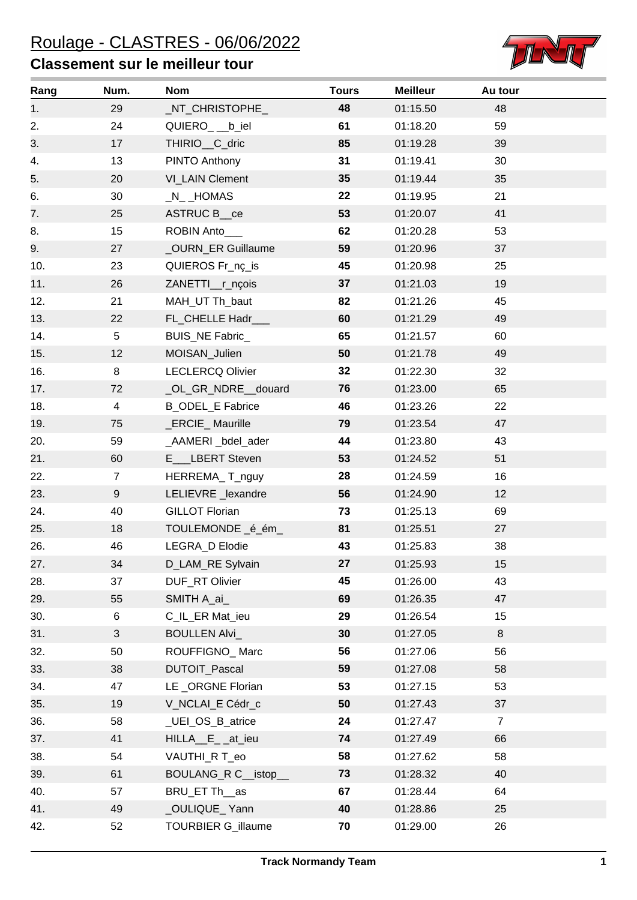## **Classement sur le meilleur tour**



| Rang | Num.            | <b>Nom</b>              | <b>Tours</b>    | <b>Meilleur</b> | Au tour        |
|------|-----------------|-------------------------|-----------------|-----------------|----------------|
| 1.   | 29              | _NT_CHRISTOPHE_         | 48              | 01:15.50        | 48             |
| 2.   | 24              | QUIERO_ __b_iel         | 61              | 01:18.20        | 59             |
| 3.   | 17              | THIRIO_C_dric           | 85              | 01:19.28        | 39             |
| 4.   | 13              | PINTO Anthony           | 31              | 01:19.41        | 30             |
| 5.   | 20              | VI_LAIN Clement         | 35 <sub>5</sub> | 01:19.44        | 35             |
| 6.   | 30              | $N_{-}$ HOMAS           | 22              | 01:19.95        | 21             |
| 7.   | 25              | ASTRUC B_ce             | 53              | 01:20.07        | 41             |
| 8.   | 15              | ROBIN Anto___           | 62              | 01:20.28        | 53             |
| 9.   | 27              | _OURN_ER Guillaume      | 59              | 01:20.96        | 37             |
| 10.  | 23              | QUIEROS Fr_nç_is        | 45              | 01:20.98        | 25             |
| 11.  | 26              | ZANETTI_r_nçois         | 37              | 01:21.03        | 19             |
| 12.  | 21              | MAH_UT Th_baut          | 82              | 01:21.26        | 45             |
| 13.  | 22              | FL_CHELLE Hadr_         | 60              | 01:21.29        | 49             |
| 14.  | $5\phantom{.0}$ | BUIS_NE Fabric_         | 65              | 01:21.57        | 60             |
| 15.  | 12              | MOISAN_Julien           | 50              | 01:21.78        | 49             |
| 16.  | 8               | <b>LECLERCQ Olivier</b> | 32 <sub>2</sub> | 01:22.30        | 32             |
| 17.  | 72              | _OL_GR_NDRE__douard     | 76              | 01:23.00        | 65             |
| 18.  | $\overline{4}$  | <b>B_ODEL_E Fabrice</b> | 46              | 01:23.26        | 22             |
| 19.  | 75              | _ERCIE_ Maurille        | 79              | 01:23.54        | 47             |
| 20.  | 59              | _AAMERI_bdel_ader       | 44              | 01:23.80        | 43             |
| 21.  | 60              | E___LBERT Steven        | 53              | 01:24.52        | 51             |
| 22.  | $\overline{7}$  | HERREMA_T_nguy          | 28              | 01:24.59        | 16             |
| 23.  | 9               | LELIEVRE_lexandre       | 56              | 01:24.90        | 12             |
| 24.  | 40              | <b>GILLOT Florian</b>   | 73              | 01:25.13        | 69             |
| 25.  | 18              | TOULEMONDE _é_ém_       | 81              | 01:25.51        | 27             |
| 26.  | 46              | LEGRA_D Elodie          | 43              | 01:25.83        | 38             |
| 27.  | 34              | D_LAM_RE Sylvain        | 27              | 01:25.93        | 15             |
| 28.  | 37              | DUF_RT Olivier          | 45              | 01:26.00        | 43             |
| 29.  | 55              | SMITH A_ai_             | 69              | 01:26.35        | 47             |
| 30.  | 6               | C_IL_ER Mat_ieu         | 29              | 01:26.54        | 15             |
| 31.  | 3               | <b>BOULLEN Alvi_</b>    | 30              | 01:27.05        | 8              |
| 32.  | 50              | ROUFFIGNO_Marc          | 56              | 01:27.06        | 56             |
| 33.  | 38              | DUTOIT_Pascal           | 59              | 01:27.08        | 58             |
| 34.  | 47              | LE_ORGNE Florian        | 53              | 01:27.15        | 53             |
| 35.  | 19              | V_NCLAI_E Cédr_c        | 50              | 01:27.43        | 37             |
| 36.  | 58              | _UEI_OS_B_atrice        | 24              | 01:27.47        | $\overline{7}$ |
| 37.  | 41              | HILLA_E_at_ieu          | 74              | 01:27.49        | 66             |
| 38.  | 54              | VAUTHI_R T_eo           | 58              | 01:27.62        | 58             |
| 39.  | 61              | BOULANG_R C__istop_     | 73              | 01:28.32        | 40             |
| 40.  | 57              | BRU_ET Th_as            | 67              | 01:28.44        | 64             |
| 41.  | 49              | _OULIQUE_Yann           | 40              | 01:28.86        | 25             |
| 42.  | 52              | TOURBIER G_illaume      | 70              | 01:29.00        | 26             |